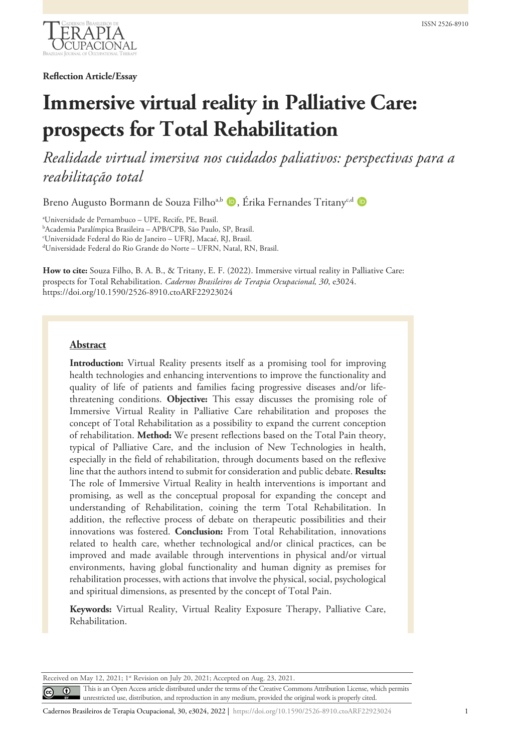

**Reflection Article/Essay**

# **Immersive virtual reality in Palliative Care: prospects for Total Rehabilitation**

*Realidade virtual imersiva nos cuidados paliativos: perspectivas para a reabilitação total*

Breno Augusto Bormann de Souza Filho<sup>a,b</sup> D, Érika Fernandes Tritany<sup>c,d</sup> D

a Universidade de Pernambuco – UPE, Recife, PE, Brasil. b Academia Paralímpica Brasileira – APB/CPB, São Paulo, SP, Brasil. c Universidade Federal do Rio de Janeiro – UFRJ, Macaé, RJ, Brasil. d Universidade Federal do Rio Grande do Norte – UFRN, Natal, RN, Brasil.

**How to cite:** Souza Filho, B. A. B., & Tritany, E. F. (2022). Immersive virtual reality in Palliative Care: prospects for Total Rehabilitation. *Cadernos Brasileiros de Terapia Ocupacional, 30*, e3024. https://doi.org/10.1590/2526-8910.ctoARF22923024

#### **Abstract**

**Introduction:** Virtual Reality presents itself as a promising tool for improving health technologies and enhancing interventions to improve the functionality and quality of life of patients and families facing progressive diseases and/or lifethreatening conditions. **Objective:** This essay discusses the promising role of Immersive Virtual Reality in Palliative Care rehabilitation and proposes the concept of Total Rehabilitation as a possibility to expand the current conception of rehabilitation. **Method:** We present reflections based on the Total Pain theory, typical of Palliative Care, and the inclusion of New Technologies in health, especially in the field of rehabilitation, through documents based on the reflexive line that the authors intend to submit for consideration and public debate. **Results:** The role of Immersive Virtual Reality in health interventions is important and promising, as well as the conceptual proposal for expanding the concept and understanding of Rehabilitation, coining the term Total Rehabilitation. In addition, the reflective process of debate on therapeutic possibilities and their innovations was fostered. **Conclusion:** From Total Rehabilitation, innovations related to health care, whether technological and/or clinical practices, can be improved and made available through interventions in physical and/or virtual environments, having global functionality and human dignity as premises for rehabilitation processes, with actions that involve the physical, social, psychological and spiritual dimensions, as presented by the concept of Total Pain.

**Keywords:** Virtual Reality, Virtual Reality Exposure Therapy, Palliative Care, Rehabilitation.

Received on May 12, 2021; 1st Revision on July 20, 2021; Accepted on Aug. 23, 2021.

This is an Open Access article distributed under the terms of the Creative Commons Attribution License, which permits  $\odot$  $\left(\mathrm{cc}\right)$ unrestricted use, distribution, and reproduction in any medium, provided the original work is properly cited.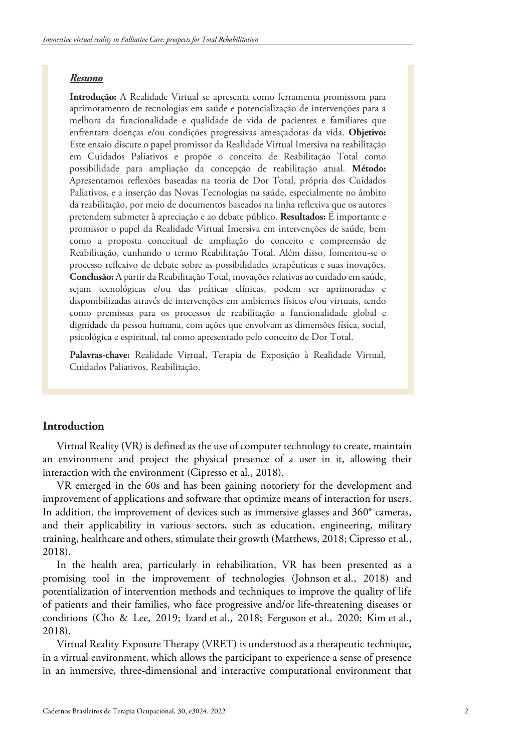#### *Resumo*

**Introdução:** A Realidade Virtual se apresenta como ferramenta promissora para aprimoramento de tecnologias em saúde e potencialização de intervenções para a melhora da funcionalidade e qualidade de vida de pacientes e familiares que enfrentam doenças e/ou condições progressivas ameaçadoras da vida. **Objetivo:** Este ensaio discute o papel promissor da Realidade Virtual Imersiva na reabilitação em Cuidados Paliativos e propõe o conceito de Reabilitação Total como possibilidade para ampliação da concepção de reabilitação atual. **Método:** Apresentamos reflexões baseadas na teoria de Dor Total, própria dos Cuidados Paliativos, e a inserção das Novas Tecnologias na saúde, especialmente no âmbito da reabilitação, por meio de documentos baseados na linha reflexiva que os autores pretendem submeter à apreciação e ao debate público. **Resultados:** É importante e promissor o papel da Realidade Virtual Imersiva em intervenções de saúde, bem como a proposta conceitual de ampliação do conceito e compreensão de Reabilitação, cunhando o termo Reabilitação Total. Além disso, fomentou-se o processo reflexivo de debate sobre as possibilidades terapêuticas e suas inovações. **Conclusão:** A partir da Reabilitação Total, inovações relativas ao cuidado em saúde, sejam tecnológicas e/ou das práticas clínicas, podem ser aprimoradas e disponibilizadas através de intervenções em ambientes físicos e/ou virtuais, tendo como premissas para os processos de reabilitação a funcionalidade global e dignidade da pessoa humana, com ações que envolvam as dimensões física, social, psicológica e espiritual, tal como apresentado pelo conceito de Dor Total.

**Palavras-chave:** Realidade Virtual, Terapia de Exposição à Realidade Virtual, Cuidados Paliativos, Reabilitação.

## **Introduction**

Virtual Reality (VR) is defined as the use of computer technology to create, maintain an environment and project the physical presence of a user in it, allowing their interaction with the environment (Cipresso et al., 2018).

VR emerged in the 60s and has been gaining notoriety for the development and improvement of applications and software that optimize means of interaction for users. In addition, the improvement of devices such as immersive glasses and 360° cameras, and their applicability in various sectors, such as education, engineering, military training, healthcare and others, stimulate their growth (Matthews, 2018; Cipresso et al., 2018).

In the health area, particularly in rehabilitation, VR has been presented as a promising tool in the improvement of technologies (Johnson et al., 2018) and potentialization of intervention methods and techniques to improve the quality of life of patients and their families, who face progressive and/or life-threatening diseases or conditions (Cho & Lee, 2019; Izard et al., 2018; Ferguson et al., 2020; Kim et al., 2018).

Virtual Reality Exposure Therapy (VRET) is understood as a therapeutic technique, in a virtual environment, which allows the participant to experience a sense of presence in an immersive, three-dimensional and interactive computational environment that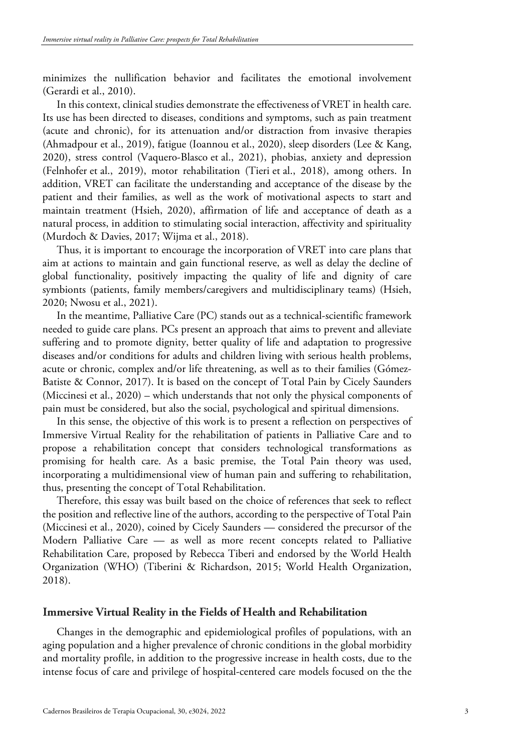minimizes the nullification behavior and facilitates the emotional involvement (Gerardi et al., 2010).

In this context, clinical studies demonstrate the effectiveness of VRET in health care. Its use has been directed to diseases, conditions and symptoms, such as pain treatment (acute and chronic), for its attenuation and/or distraction from invasive therapies (Ahmadpour et al., 2019), fatigue (Ioannou et al., 2020), sleep disorders (Lee & Kang, 2020), stress control (Vaquero-Blasco et al., 2021), phobias, anxiety and depression (Felnhofer et al., 2019), motor rehabilitation (Tieri et al., 2018), among others. In addition, VRET can facilitate the understanding and acceptance of the disease by the patient and their families, as well as the work of motivational aspects to start and maintain treatment (Hsieh, 2020), affirmation of life and acceptance of death as a natural process, in addition to stimulating social interaction, affectivity and spirituality (Murdoch & Davies, 2017; Wijma et al., 2018).

Thus, it is important to encourage the incorporation of VRET into care plans that aim at actions to maintain and gain functional reserve, as well as delay the decline of global functionality, positively impacting the quality of life and dignity of care symbionts (patients, family members/caregivers and multidisciplinary teams) (Hsieh, 2020; Nwosu et al., 2021).

In the meantime, Palliative Care (PC) stands out as a technical-scientific framework needed to guide care plans. PCs present an approach that aims to prevent and alleviate suffering and to promote dignity, better quality of life and adaptation to progressive diseases and/or conditions for adults and children living with serious health problems, acute or chronic, complex and/or life threatening, as well as to their families (Gómez-Batiste & Connor, 2017). It is based on the concept of Total Pain by Cicely Saunders (Miccinesi et al., 2020) – which understands that not only the physical components of pain must be considered, but also the social, psychological and spiritual dimensions.

In this sense, the objective of this work is to present a reflection on perspectives of Immersive Virtual Reality for the rehabilitation of patients in Palliative Care and to propose a rehabilitation concept that considers technological transformations as promising for health care. As a basic premise, the Total Pain theory was used, incorporating a multidimensional view of human pain and suffering to rehabilitation, thus, presenting the concept of Total Rehabilitation.

Therefore, this essay was built based on the choice of references that seek to reflect the position and reflective line of the authors, according to the perspective of Total Pain (Miccinesi et al., 2020), coined by Cicely Saunders — considered the precursor of the Modern Palliative Care — as well as more recent concepts related to Palliative Rehabilitation Care, proposed by Rebecca Tiberi and endorsed by the World Health Organization (WHO) (Tiberini & Richardson, 2015; World Health Organization, 2018).

#### **Immersive Virtual Reality in the Fields of Health and Rehabilitation**

Changes in the demographic and epidemiological profiles of populations, with an aging population and a higher prevalence of chronic conditions in the global morbidity and mortality profile, in addition to the progressive increase in health costs, due to the intense focus of care and privilege of hospital-centered care models focused on the the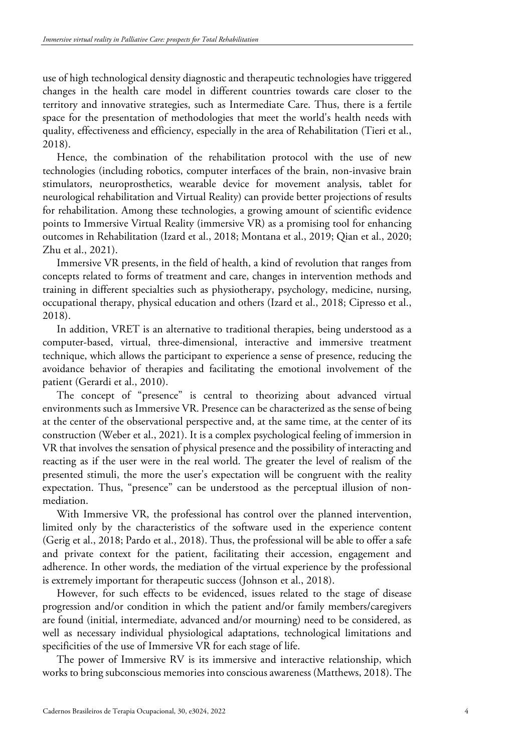use of high technological density diagnostic and therapeutic technologies have triggered changes in the health care model in different countries towards care closer to the territory and innovative strategies, such as Intermediate Care. Thus, there is a fertile space for the presentation of methodologies that meet the world's health needs with quality, effectiveness and efficiency, especially in the area of Rehabilitation (Tieri et al., 2018).

Hence, the combination of the rehabilitation protocol with the use of new technologies (including robotics, computer interfaces of the brain, non-invasive brain stimulators, neuroprosthetics, wearable device for movement analysis, tablet for neurological rehabilitation and Virtual Reality) can provide better projections of results for rehabilitation. Among these technologies, a growing amount of scientific evidence points to Immersive Virtual Reality (immersive VR) as a promising tool for enhancing outcomes in Rehabilitation (Izard et al., 2018; Montana et al., 2019; Qian et al., 2020; Zhu et al., 2021).

Immersive VR presents, in the field of health, a kind of revolution that ranges from concepts related to forms of treatment and care, changes in intervention methods and training in different specialties such as physiotherapy, psychology, medicine, nursing, occupational therapy, physical education and others (Izard et al., 2018; Cipresso et al., 2018).

In addition, VRET is an alternative to traditional therapies, being understood as a computer-based, virtual, three-dimensional, interactive and immersive treatment technique, which allows the participant to experience a sense of presence, reducing the avoidance behavior of therapies and facilitating the emotional involvement of the patient (Gerardi et al., 2010).

The concept of "presence" is central to theorizing about advanced virtual environments such as Immersive VR. Presence can be characterized as the sense of being at the center of the observational perspective and, at the same time, at the center of its construction (Weber et al., 2021). It is a complex psychological feeling of immersion in VR that involves the sensation of physical presence and the possibility of interacting and reacting as if the user were in the real world. The greater the level of realism of the presented stimuli, the more the user's expectation will be congruent with the reality expectation. Thus, "presence" can be understood as the perceptual illusion of nonmediation.

With Immersive VR, the professional has control over the planned intervention, limited only by the characteristics of the software used in the experience content (Gerig et al., 2018; Pardo et al., 2018). Thus, the professional will be able to offer a safe and private context for the patient, facilitating their accession, engagement and adherence. In other words, the mediation of the virtual experience by the professional is extremely important for therapeutic success (Johnson et al., 2018).

However, for such effects to be evidenced, issues related to the stage of disease progression and/or condition in which the patient and/or family members/caregivers are found (initial, intermediate, advanced and/or mourning) need to be considered, as well as necessary individual physiological adaptations, technological limitations and specificities of the use of Immersive VR for each stage of life.

The power of Immersive RV is its immersive and interactive relationship, which works to bring subconscious memories into conscious awareness (Matthews, 2018). The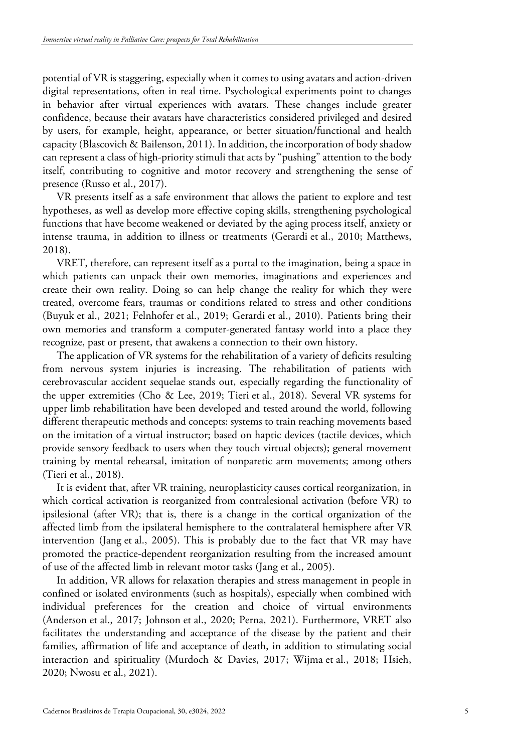potential of VR is staggering, especially when it comes to using avatars and action-driven digital representations, often in real time. Psychological experiments point to changes in behavior after virtual experiences with avatars. These changes include greater confidence, because their avatars have characteristics considered privileged and desired by users, for example, height, appearance, or better situation/functional and health capacity (Blascovich & Bailenson, 2011). In addition, the incorporation of body shadow can represent a class of high-priority stimuli that acts by "pushing" attention to the body itself, contributing to cognitive and motor recovery and strengthening the sense of presence (Russo et al., 2017).

VR presents itself as a safe environment that allows the patient to explore and test hypotheses, as well as develop more effective coping skills, strengthening psychological functions that have become weakened or deviated by the aging process itself, anxiety or intense trauma, in addition to illness or treatments (Gerardi et al., 2010; Matthews, 2018).

VRET, therefore, can represent itself as a portal to the imagination, being a space in which patients can unpack their own memories, imaginations and experiences and create their own reality. Doing so can help change the reality for which they were treated, overcome fears, traumas or conditions related to stress and other conditions (Buyuk et al., 2021; Felnhofer et al., 2019; Gerardi et al., 2010). Patients bring their own memories and transform a computer-generated fantasy world into a place they recognize, past or present, that awakens a connection to their own history.

The application of VR systems for the rehabilitation of a variety of deficits resulting from nervous system injuries is increasing. The rehabilitation of patients with cerebrovascular accident sequelae stands out, especially regarding the functionality of the upper extremities (Cho & Lee, 2019; Tieri et al., 2018). Several VR systems for upper limb rehabilitation have been developed and tested around the world, following different therapeutic methods and concepts: systems to train reaching movements based on the imitation of a virtual instructor; based on haptic devices (tactile devices, which provide sensory feedback to users when they touch virtual objects); general movement training by mental rehearsal, imitation of nonparetic arm movements; among others (Tieri et al., 2018).

It is evident that, after VR training, neuroplasticity causes cortical reorganization, in which cortical activation is reorganized from contralesional activation (before VR) to ipsilesional (after VR); that is, there is a change in the cortical organization of the affected limb from the ipsilateral hemisphere to the contralateral hemisphere after VR intervention (Jang et al., 2005). This is probably due to the fact that VR may have promoted the practice-dependent reorganization resulting from the increased amount of use of the affected limb in relevant motor tasks (Jang et al., 2005).

In addition, VR allows for relaxation therapies and stress management in people in confined or isolated environments (such as hospitals), especially when combined with individual preferences for the creation and choice of virtual environments (Anderson et al., 2017; Johnson et al., 2020; Perna, 2021). Furthermore, VRET also facilitates the understanding and acceptance of the disease by the patient and their families, affirmation of life and acceptance of death, in addition to stimulating social interaction and spirituality (Murdoch & Davies, 2017; Wijma et al., 2018; Hsieh, 2020; Nwosu et al., 2021).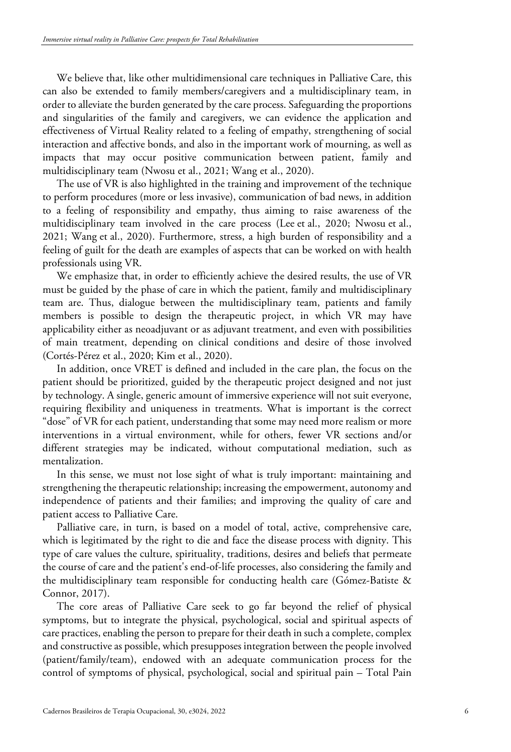We believe that, like other multidimensional care techniques in Palliative Care, this can also be extended to family members/caregivers and a multidisciplinary team, in order to alleviate the burden generated by the care process. Safeguarding the proportions and singularities of the family and caregivers, we can evidence the application and effectiveness of Virtual Reality related to a feeling of empathy, strengthening of social interaction and affective bonds, and also in the important work of mourning, as well as impacts that may occur positive communication between patient, family and multidisciplinary team (Nwosu et al., 2021; Wang et al., 2020).

The use of VR is also highlighted in the training and improvement of the technique to perform procedures (more or less invasive), communication of bad news, in addition to a feeling of responsibility and empathy, thus aiming to raise awareness of the multidisciplinary team involved in the care process (Lee et al., 2020; Nwosu et al., 2021; Wang et al., 2020). Furthermore, stress, a high burden of responsibility and a feeling of guilt for the death are examples of aspects that can be worked on with health professionals using VR.

We emphasize that, in order to efficiently achieve the desired results, the use of VR must be guided by the phase of care in which the patient, family and multidisciplinary team are. Thus, dialogue between the multidisciplinary team, patients and family members is possible to design the therapeutic project, in which VR may have applicability either as neoadjuvant or as adjuvant treatment, and even with possibilities of main treatment, depending on clinical conditions and desire of those involved (Cortés-Pérez et al., 2020; Kim et al., 2020).

In addition, once VRET is defined and included in the care plan, the focus on the patient should be prioritized, guided by the therapeutic project designed and not just by technology. A single, generic amount of immersive experience will not suit everyone, requiring flexibility and uniqueness in treatments. What is important is the correct "dose" of VR for each patient, understanding that some may need more realism or more interventions in a virtual environment, while for others, fewer VR sections and/or different strategies may be indicated, without computational mediation, such as mentalization.

In this sense, we must not lose sight of what is truly important: maintaining and strengthening the therapeutic relationship; increasing the empowerment, autonomy and independence of patients and their families; and improving the quality of care and patient access to Palliative Care.

Palliative care, in turn, is based on a model of total, active, comprehensive care, which is legitimated by the right to die and face the disease process with dignity. This type of care values the culture, spirituality, traditions, desires and beliefs that permeate the course of care and the patient's end-of-life processes, also considering the family and the multidisciplinary team responsible for conducting health care (Gómez-Batiste & Connor, 2017).

The core areas of Palliative Care seek to go far beyond the relief of physical symptoms, but to integrate the physical, psychological, social and spiritual aspects of care practices, enabling the person to prepare for their death in such a complete, complex and constructive as possible, which presupposes integration between the people involved (patient/family/team), endowed with an adequate communication process for the control of symptoms of physical, psychological, social and spiritual pain – Total Pain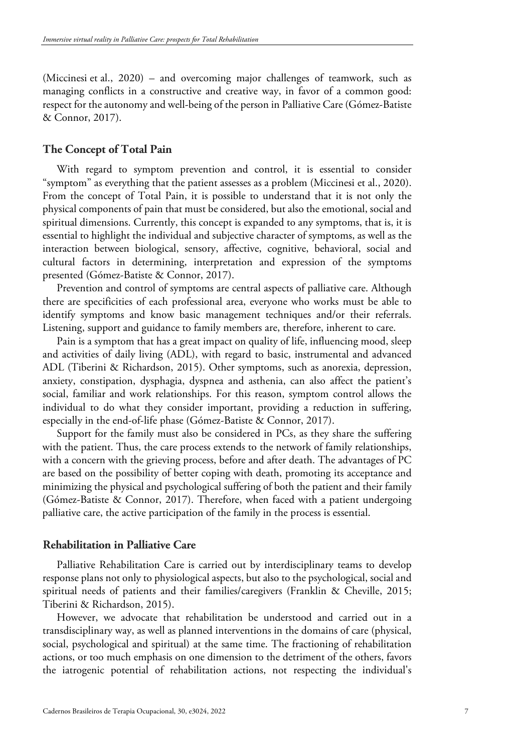(Miccinesi et al., 2020) – and overcoming major challenges of teamwork, such as managing conflicts in a constructive and creative way, in favor of a common good: respect for the autonomy and well-being of the person in Palliative Care (Gómez-Batiste & Connor, 2017).

### **The Concept of Total Pain**

With regard to symptom prevention and control, it is essential to consider "symptom" as everything that the patient assesses as a problem (Miccinesi et al., 2020). From the concept of Total Pain, it is possible to understand that it is not only the physical components of pain that must be considered, but also the emotional, social and spiritual dimensions. Currently, this concept is expanded to any symptoms, that is, it is essential to highlight the individual and subjective character of symptoms, as well as the interaction between biological, sensory, affective, cognitive, behavioral, social and cultural factors in determining, interpretation and expression of the symptoms presented (Gómez-Batiste & Connor, 2017).

Prevention and control of symptoms are central aspects of palliative care. Although there are specificities of each professional area, everyone who works must be able to identify symptoms and know basic management techniques and/or their referrals. Listening, support and guidance to family members are, therefore, inherent to care.

Pain is a symptom that has a great impact on quality of life, influencing mood, sleep and activities of daily living (ADL), with regard to basic, instrumental and advanced ADL (Tiberini & Richardson, 2015). Other symptoms, such as anorexia, depression, anxiety, constipation, dysphagia, dyspnea and asthenia, can also affect the patient's social, familiar and work relationships. For this reason, symptom control allows the individual to do what they consider important, providing a reduction in suffering, especially in the end-of-life phase (Gómez-Batiste & Connor, 2017).

Support for the family must also be considered in PCs, as they share the suffering with the patient. Thus, the care process extends to the network of family relationships, with a concern with the grieving process, before and after death. The advantages of PC are based on the possibility of better coping with death, promoting its acceptance and minimizing the physical and psychological suffering of both the patient and their family (Gómez-Batiste & Connor, 2017). Therefore, when faced with a patient undergoing palliative care, the active participation of the family in the process is essential.

#### **Rehabilitation in Palliative Care**

Palliative Rehabilitation Care is carried out by interdisciplinary teams to develop response plans not only to physiological aspects, but also to the psychological, social and spiritual needs of patients and their families/caregivers (Franklin & Cheville, 2015; Tiberini & Richardson, 2015).

However, we advocate that rehabilitation be understood and carried out in a transdisciplinary way, as well as planned interventions in the domains of care (physical, social, psychological and spiritual) at the same time. The fractioning of rehabilitation actions, or too much emphasis on one dimension to the detriment of the others, favors the iatrogenic potential of rehabilitation actions, not respecting the individual's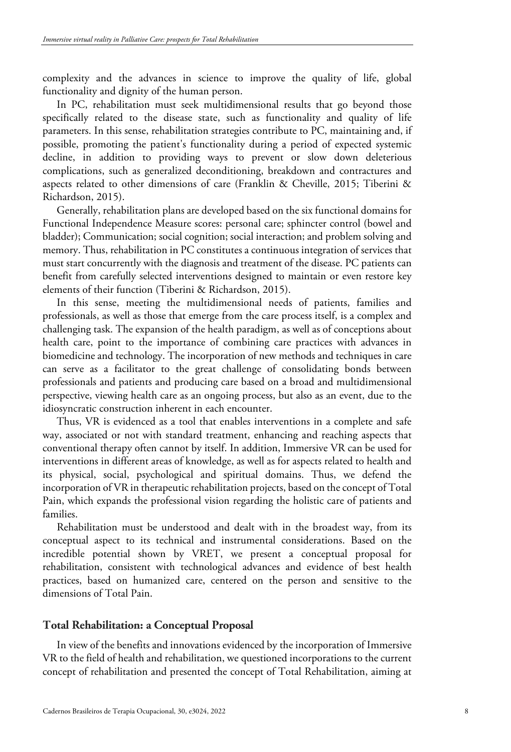complexity and the advances in science to improve the quality of life, global functionality and dignity of the human person.

In PC, rehabilitation must seek multidimensional results that go beyond those specifically related to the disease state, such as functionality and quality of life parameters. In this sense, rehabilitation strategies contribute to PC, maintaining and, if possible, promoting the patient's functionality during a period of expected systemic decline, in addition to providing ways to prevent or slow down deleterious complications, such as generalized deconditioning, breakdown and contractures and aspects related to other dimensions of care (Franklin & Cheville, 2015; Tiberini & Richardson, 2015).

Generally, rehabilitation plans are developed based on the six functional domains for Functional Independence Measure scores: personal care; sphincter control (bowel and bladder); Communication; social cognition; social interaction; and problem solving and memory. Thus, rehabilitation in PC constitutes a continuous integration of services that must start concurrently with the diagnosis and treatment of the disease. PC patients can benefit from carefully selected interventions designed to maintain or even restore key elements of their function (Tiberini & Richardson, 2015).

In this sense, meeting the multidimensional needs of patients, families and professionals, as well as those that emerge from the care process itself, is a complex and challenging task. The expansion of the health paradigm, as well as of conceptions about health care, point to the importance of combining care practices with advances in biomedicine and technology. The incorporation of new methods and techniques in care can serve as a facilitator to the great challenge of consolidating bonds between professionals and patients and producing care based on a broad and multidimensional perspective, viewing health care as an ongoing process, but also as an event, due to the idiosyncratic construction inherent in each encounter.

Thus, VR is evidenced as a tool that enables interventions in a complete and safe way, associated or not with standard treatment, enhancing and reaching aspects that conventional therapy often cannot by itself. In addition, Immersive VR can be used for interventions in different areas of knowledge, as well as for aspects related to health and its physical, social, psychological and spiritual domains. Thus, we defend the incorporation of VR in therapeutic rehabilitation projects, based on the concept of Total Pain, which expands the professional vision regarding the holistic care of patients and families.

Rehabilitation must be understood and dealt with in the broadest way, from its conceptual aspect to its technical and instrumental considerations. Based on the incredible potential shown by VRET, we present a conceptual proposal for rehabilitation, consistent with technological advances and evidence of best health practices, based on humanized care, centered on the person and sensitive to the dimensions of Total Pain.

#### **Total Rehabilitation: a Conceptual Proposal**

In view of the benefits and innovations evidenced by the incorporation of Immersive VR to the field of health and rehabilitation, we questioned incorporations to the current concept of rehabilitation and presented the concept of Total Rehabilitation, aiming at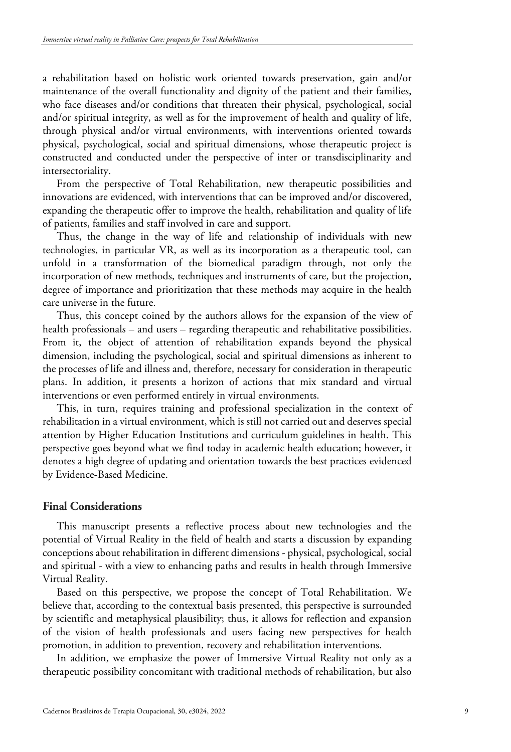a rehabilitation based on holistic work oriented towards preservation, gain and/or maintenance of the overall functionality and dignity of the patient and their families, who face diseases and/or conditions that threaten their physical, psychological, social and/or spiritual integrity, as well as for the improvement of health and quality of life, through physical and/or virtual environments, with interventions oriented towards physical, psychological, social and spiritual dimensions, whose therapeutic project is constructed and conducted under the perspective of inter or transdisciplinarity and intersectoriality.

From the perspective of Total Rehabilitation, new therapeutic possibilities and innovations are evidenced, with interventions that can be improved and/or discovered, expanding the therapeutic offer to improve the health, rehabilitation and quality of life of patients, families and staff involved in care and support.

Thus, the change in the way of life and relationship of individuals with new technologies, in particular VR, as well as its incorporation as a therapeutic tool, can unfold in a transformation of the biomedical paradigm through, not only the incorporation of new methods, techniques and instruments of care, but the projection, degree of importance and prioritization that these methods may acquire in the health care universe in the future.

Thus, this concept coined by the authors allows for the expansion of the view of health professionals – and users – regarding therapeutic and rehabilitative possibilities. From it, the object of attention of rehabilitation expands beyond the physical dimension, including the psychological, social and spiritual dimensions as inherent to the processes of life and illness and, therefore, necessary for consideration in therapeutic plans. In addition, it presents a horizon of actions that mix standard and virtual interventions or even performed entirely in virtual environments.

This, in turn, requires training and professional specialization in the context of rehabilitation in a virtual environment, which is still not carried out and deserves special attention by Higher Education Institutions and curriculum guidelines in health. This perspective goes beyond what we find today in academic health education; however, it denotes a high degree of updating and orientation towards the best practices evidenced by Evidence-Based Medicine.

## **Final Considerations**

This manuscript presents a reflective process about new technologies and the potential of Virtual Reality in the field of health and starts a discussion by expanding conceptions about rehabilitation in different dimensions - physical, psychological, social and spiritual - with a view to enhancing paths and results in health through Immersive Virtual Reality.

Based on this perspective, we propose the concept of Total Rehabilitation. We believe that, according to the contextual basis presented, this perspective is surrounded by scientific and metaphysical plausibility; thus, it allows for reflection and expansion of the vision of health professionals and users facing new perspectives for health promotion, in addition to prevention, recovery and rehabilitation interventions.

In addition, we emphasize the power of Immersive Virtual Reality not only as a therapeutic possibility concomitant with traditional methods of rehabilitation, but also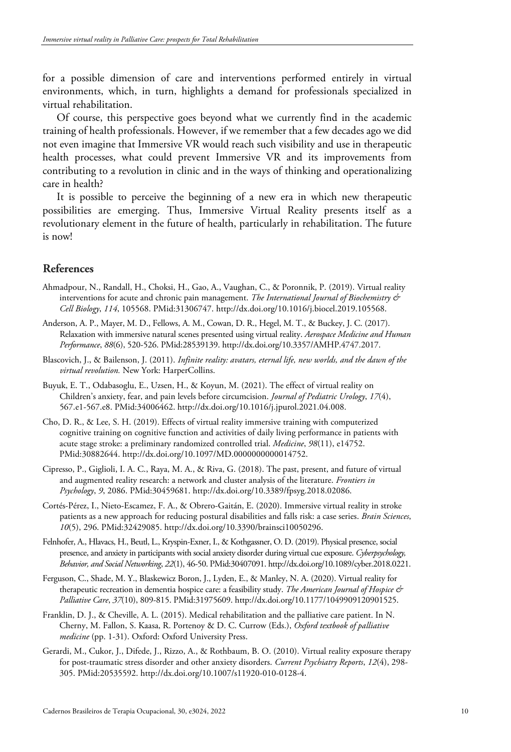for a possible dimension of care and interventions performed entirely in virtual environments, which, in turn, highlights a demand for professionals specialized in virtual rehabilitation.

Of course, this perspective goes beyond what we currently find in the academic training of health professionals. However, if we remember that a few decades ago we did not even imagine that Immersive VR would reach such visibility and use in therapeutic health processes, what could prevent Immersive VR and its improvements from contributing to a revolution in clinic and in the ways of thinking and operationalizing care in health?

It is possible to perceive the beginning of a new era in which new therapeutic possibilities are emerging. Thus, Immersive Virtual Reality presents itself as a revolutionary element in the future of health, particularly in rehabilitation. The future is now!

## **References**

- Ahmadpour, N., Randall, H., Choksi, H., Gao, A., Vaughan, C., & Poronnik, P. (2019). Virtual reality interventions for acute and chronic pain management. *The International Journal of Biochemistry & Cell Biology*, *114*, 105568. [PMid:31306747.](https://www.ncbi.nlm.nih.gov/entrez/query.fcgi?cmd=Retrieve&db=PubMed&list_uids=31306747&dopt=Abstract) [http://dx.doi.org/10.1016/j.biocel.2019.105568.](https://doi.org/10.1016/j.biocel.2019.105568)
- Anderson, A. P., Mayer, M. D., Fellows, A. M., Cowan, D. R., Hegel, M. T., & Buckey, J. C. (2017). Relaxation with immersive natural scenes presented using virtual reality. *Aerospace Medicine and Human Performance*, *88*(6), 520-526. [PMid:28539139.](https://www.ncbi.nlm.nih.gov/entrez/query.fcgi?cmd=Retrieve&db=PubMed&list_uids=28539139&dopt=Abstract) [http://dx.doi.org/10.3357/AMHP.4747.2017.](https://doi.org/10.3357/AMHP.4747.2017)
- Blascovich, J., & Bailenson, J. (2011). *Infinite reality: avatars, eternal life, new worlds, and the dawn of the virtual revolution.* New York: HarperCollins.
- Buyuk, E. T., Odabasoglu, E., Uzsen, H., & Koyun, M. (2021). The effect of virtual reality on Children's anxiety, fear, and pain levels before circumcision. *Journal of Pediatric Urology*, *17*(4), 567.e1-567.e8. [PMid:34006462.](https://www.ncbi.nlm.nih.gov/entrez/query.fcgi?cmd=Retrieve&db=PubMed&list_uids=34006462&dopt=Abstract) [http://dx.doi.org/10.1016/j.jpurol.2021.04.008.](https://doi.org/10.1016/j.jpurol.2021.04.008)
- Cho, D. R., & Lee, S. H. (2019). Effects of virtual reality immersive training with computerized cognitive training on cognitive function and activities of daily living performance in patients with acute stage stroke: a preliminary randomized controlled trial. *Medicine*, *98*(11), e1475[2.](https://www.ncbi.nlm.nih.gov/entrez/query.fcgi?cmd=Retrieve&db=PubMed&list_uids=30882644&dopt=Abstract) [PMid:30882644.](https://www.ncbi.nlm.nih.gov/entrez/query.fcgi?cmd=Retrieve&db=PubMed&list_uids=30882644&dopt=Abstract) [http://dx.doi.org/10.1097/MD.0000000000014752.](https://doi.org/10.1097/MD.0000000000014752)
- Cipresso, P., Giglioli, I. A. C., Raya, M. A., & Riva, G. (2018). The past, present, and future of virtual and augmented reality research: a network and cluster analysis of the literature. *Frontiers in Psychology*, *9*, 2086. [PMid:30459681.](https://www.ncbi.nlm.nih.gov/entrez/query.fcgi?cmd=Retrieve&db=PubMed&list_uids=30459681&dopt=Abstract) [http://dx.doi.org/10.3389/fpsyg.2018.02086.](https://doi.org/10.3389/fpsyg.2018.02086)
- Cortés-Pérez, I., Nieto-Escamez, F. A., & Obrero-Gaitán, E. (2020). Immersive virtual reality in stroke patients as a new approach for reducing postural disabilities and falls risk: a case series. *Brain Sciences*, *10*(5), 296. [PMid:32429085.](https://www.ncbi.nlm.nih.gov/entrez/query.fcgi?cmd=Retrieve&db=PubMed&list_uids=32429085&dopt=Abstract) [http://dx.doi.org/10.3390/brainsci10050296.](https://doi.org/10.3390/brainsci10050296)
- Felnhofer, A., Hlavacs, H., Beutl, L., Kryspin-Exner, I., & Kothgassner, O. D. (2019). Physical presence, social presence, and anxiety in participants with social anxiety disorder during virtual cue exposure. *Cyberpsychology, Behavior, and Social Networking*, *22*(1), 46-50. [PMid:30407091.](https://www.ncbi.nlm.nih.gov/entrez/query.fcgi?cmd=Retrieve&db=PubMed&list_uids=30407091&dopt=Abstract) [http://dx.doi.org/10.1089/cyber.2018.0221.](https://doi.org/10.1089/cyber.2018.0221)
- Ferguson, C., Shade, M. Y., Blaskewicz Boron, J., Lyden, E., & Manley, N. A. (2020). Virtual reality for therapeutic recreation in dementia hospice care: a feasibility study. *The American Journal of Hospice & Palliative Care*, *37*(10), 809-815. [PMid:31975609.](https://www.ncbi.nlm.nih.gov/entrez/query.fcgi?cmd=Retrieve&db=PubMed&list_uids=31975609&dopt=Abstract) [http://dx.doi.org/10.1177/1049909120901525.](https://doi.org/10.1177/1049909120901525)
- Franklin, D. J., & Cheville, A. L. (2015). Medical rehabilitation and the palliative care patient. In N. Cherny, M. Fallon, S. Kaasa, R. Portenoy & D. C. Currow (Eds.), *Oxford textbook of palliative medicine* (pp. 1-31). Oxford: Oxford University Press.
- Gerardi, M., Cukor, J., Difede, J., Rizzo, A., & Rothbaum, B. O. (2010). Virtual reality exposure therapy for post-traumatic stress disorder and other anxiety disorders. *Current Psychiatry Reports*, *12*(4), 298- 305. [PMid:20535592.](https://www.ncbi.nlm.nih.gov/entrez/query.fcgi?cmd=Retrieve&db=PubMed&list_uids=20535592&dopt=Abstract) [http://dx.doi.org/10.1007/s11920-010-0128-4.](https://doi.org/10.1007/s11920-010-0128-4)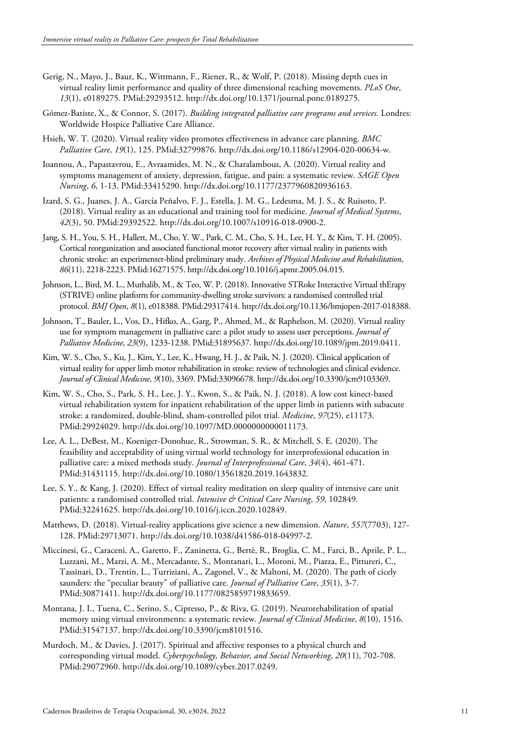- Gerig, N., Mayo, J., Baur, K., Wittmann, F., Riener, R., & Wolf, P. (2018). Missing depth cues in virtual reality limit performance and quality of three dimensional reaching movements. *PLoS One*, *13*(1), e0189275. [PMid:29293512.](https://www.ncbi.nlm.nih.gov/entrez/query.fcgi?cmd=Retrieve&db=PubMed&list_uids=29293512&dopt=Abstract) [http://dx.doi.org/10.1371/journal.pone.0189275.](https://doi.org/10.1371/journal.pone.0189275)
- Gómez-Batiste, X., & Connor, S. (2017). *Building integrated palliative care programs and services.* Londres: Worldwide Hospice Palliative Care Alliance.
- Hsieh, W. T. (2020). Virtual reality video promotes effectiveness in advance care planning. *BMC Palliative Care*, *19*(1), 125. [PMid:32799876.](https://www.ncbi.nlm.nih.gov/entrez/query.fcgi?cmd=Retrieve&db=PubMed&list_uids=32799876&dopt=Abstract) [http://dx.doi.org/10.1186/s12904-020-00634-w.](https://doi.org/10.1186/s12904-020-00634-w)
- Ioannou, A., Papastavrou, E., Avraamides, M. N., & Charalambous, A. (2020). Virtual reality and symptoms management of anxiety, depression, fatigue, and pain: a systematic review. *SAGE Open Nursing*, *6*, 1-13. [PMid:33415290.](https://www.ncbi.nlm.nih.gov/entrez/query.fcgi?cmd=Retrieve&db=PubMed&list_uids=33415290&dopt=Abstract) [http://dx.doi.org/10.1177/2377960820936163.](https://doi.org/10.1177/2377960820936163)
- Izard, S. G., Juanes, J. A., García Peñalvo, F. J., Estella, J. M. G., Ledesma, M. J. S., & Ruisoto, P. (2018). Virtual reality as an educational and training tool for medicine. *Journal of Medical Systems*, *42*(3), 50. [PMid:29392522.](https://www.ncbi.nlm.nih.gov/entrez/query.fcgi?cmd=Retrieve&db=PubMed&list_uids=29392522&dopt=Abstract) [http://dx.doi.org/10.1007/s10916-018-0900-2.](https://doi.org/10.1007/s10916-018-0900-2)
- Jang, S. H., You, S. H., Hallett, M., Cho, Y. W., Park, C. M., Cho, S. H., Lee, H. Y., & Kim, T. H. (2005). Cortical reorganization and associated functional motor recovery after virtual reality in patients with chronic stroke: an experimenter-blind preliminary study. *Archives of Physical Medicine and Rehabilitation*, *86*(11), 2218-2223. [PMid:16271575.](https://www.ncbi.nlm.nih.gov/entrez/query.fcgi?cmd=Retrieve&db=PubMed&list_uids=16271575&dopt=Abstract) [http://dx.doi.org/10.1016/j.apmr.2005.04.015.](https://doi.org/10.1016/j.apmr.2005.04.015)
- Johnson, L., Bird, M. L., Muthalib, M., & Teo, W. P. (2018). Innovative STRoke Interactive Virtual thErapy (STRIVE) online platform for community-dwelling stroke survivors: a randomised controlled trial protocol. *BMJ Open*, *8*(1), e018388. [PMid:29317414.](https://www.ncbi.nlm.nih.gov/entrez/query.fcgi?cmd=Retrieve&db=PubMed&list_uids=29317414&dopt=Abstract) [http://dx.doi.org/10.1136/bmjopen-2017-018388.](https://doi.org/10.1136/bmjopen-2017-018388)
- Johnson, T., Bauler, L., Vos, D., Hifko, A., Garg, P., Ahmed, M., & Raphelson, M. (2020). Virtual reality use for symptom management in palliative care: a pilot study to assess user perceptions. *Journal of Palliative Medicine*, *23*(9), 1233-1238. [PMid:31895637.](https://www.ncbi.nlm.nih.gov/entrez/query.fcgi?cmd=Retrieve&db=PubMed&list_uids=31895637&dopt=Abstract) [http://dx.doi.org/10.1089/jpm.2019.0411.](https://doi.org/10.1089/jpm.2019.0411)
- Kim, W. S., Cho, S., Ku, J., Kim, Y., Lee, K., Hwang, H. J., & Paik, N. J. (2020). Clinical application of virtual reality for upper limb motor rehabilitation in stroke: review of technologies and clinical evidence. *Journal of Clinical Medicine*, *9*(10), 3369. [PMid:33096678.](https://www.ncbi.nlm.nih.gov/entrez/query.fcgi?cmd=Retrieve&db=PubMed&list_uids=33096678&dopt=Abstract) [http://dx.doi.org/10.3390/jcm9103369.](https://doi.org/10.3390/jcm9103369)
- Kim, W. S., Cho, S., Park, S. H., Lee, J. Y., Kwon, S., & Paik, N. J. (2018). A low cost kinect-based virtual rehabilitation system for inpatient rehabilitation of the upper limb in patients with subacute stroke: a randomized, double-blind, sham-controlled pilot trial. *Medicine*, *97*(25), e11173[.](https://www.ncbi.nlm.nih.gov/entrez/query.fcgi?cmd=Retrieve&db=PubMed&list_uids=29924029&dopt=Abstract) [PMid:29924029.](https://www.ncbi.nlm.nih.gov/entrez/query.fcgi?cmd=Retrieve&db=PubMed&list_uids=29924029&dopt=Abstract) [http://dx.doi.org/10.1097/MD.0000000000011173.](https://doi.org/10.1097/MD.0000000000011173)
- Lee, A. L., DeBest, M., Koeniger-Donohue, R., Strowman, S. R., & Mitchell, S. E. (2020). The feasibility and acceptability of using virtual world technology for interprofessional education in palliative care: a mixed methods study. *Journal of Interprofessional Care*, *34*(4), 461-47[1.](https://www.ncbi.nlm.nih.gov/entrez/query.fcgi?cmd=Retrieve&db=PubMed&list_uids=31431115&dopt=Abstract) [PMid:31431115.](https://www.ncbi.nlm.nih.gov/entrez/query.fcgi?cmd=Retrieve&db=PubMed&list_uids=31431115&dopt=Abstract) [http://dx.doi.org/10.1080/13561820.2019.1643832.](https://doi.org/10.1080/13561820.2019.1643832)
- Lee, S. Y., & Kang, J. (2020). Effect of virtual reality meditation on sleep quality of intensive care unit patients: a randomised controlled trial. *Intensive & Critical Care Nursing*, *59*, 10284[9.](https://www.ncbi.nlm.nih.gov/entrez/query.fcgi?cmd=Retrieve&db=PubMed&list_uids=32241625&dopt=Abstract) [PMid:32241625.](https://www.ncbi.nlm.nih.gov/entrez/query.fcgi?cmd=Retrieve&db=PubMed&list_uids=32241625&dopt=Abstract) [http://dx.doi.org/10.1016/j.iccn.2020.102849.](https://doi.org/10.1016/j.iccn.2020.102849)
- Matthews, D. (2018). Virtual-reality applications give science a new dimension. *Nature*, *557*(7703), 127- 128. [PMid:29713071.](https://www.ncbi.nlm.nih.gov/entrez/query.fcgi?cmd=Retrieve&db=PubMed&list_uids=29713071&dopt=Abstract) [http://dx.doi.org/10.1038/d41586-018-04997-2.](https://doi.org/10.1038/d41586-018-04997-2)
- Miccinesi, G., Caraceni, A., Garetto, F., Zaninetta, G., Bertè, R., Broglia, C. M., Farci, B., Aprile, P. L., Luzzani, M., Marzi, A. M., Mercadante, S., Montanari, L., Moroni, M., Piazza, E., Pittureri, C., Tassinari, D., Trentin, L., Turriziani, A., Zagonel, V., & Maltoni, M. (2020). The p[ath of cicely](https://www.ncbi.nlm.nih.gov/entrez/query.fcgi?cmd=Retrieve&db=PubMed&list_uids=30871411&dopt=Abstract)  saunders: the "peculiar beauty" of palliative care. *Journal of Palliative Care*, *35*(1), 3-7. [PMid:30871411.](https://www.ncbi.nlm.nih.gov/entrez/query.fcgi?cmd=Retrieve&db=PubMed&list_uids=30871411&dopt=Abstract) [http://dx.doi.org/10.1177/0825859719833659.](https://doi.org/10.1177/0825859719833659)
- Montana, J. I., Tuena, C., Serino, S., Cipresso, P., & Riva, G. (2019). Neurorehabilitation of spatial memory using virtual environments: a systematic review. *Journal of Clinical Medicine*, *8*(10), 151[6.](https://www.ncbi.nlm.nih.gov/entrez/query.fcgi?cmd=Retrieve&db=PubMed&list_uids=31547137&dopt=Abstract) [PMid:31547137.](https://www.ncbi.nlm.nih.gov/entrez/query.fcgi?cmd=Retrieve&db=PubMed&list_uids=31547137&dopt=Abstract) [http://dx.doi.org/10.3390/jcm8101516.](https://doi.org/10.3390/jcm8101516)
- Murdoch, M., & Davies, J. (2017). Spiritual and affective responses to a physical church and corresponding virtual model. *Cyberpsychology, Behavior, and Social Networking*, *20*(11), 702-708[.](https://www.ncbi.nlm.nih.gov/entrez/query.fcgi?cmd=Retrieve&db=PubMed&list_uids=29072960&dopt=Abstract) [PMid:29072960.](https://www.ncbi.nlm.nih.gov/entrez/query.fcgi?cmd=Retrieve&db=PubMed&list_uids=29072960&dopt=Abstract) [http://dx.doi.org/10.1089/cyber.2017.0249.](https://doi.org/10.1089/cyber.2017.0249)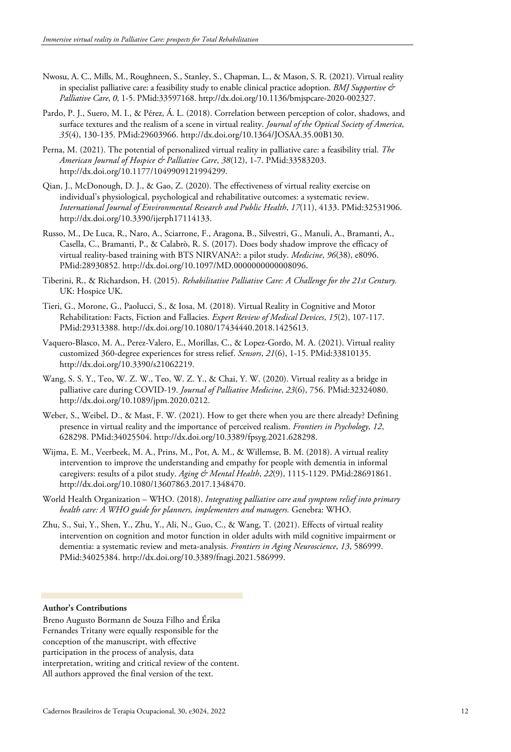- Nwosu, A. C., Mills, M., Roughneen, S., Stanley, S., Chapman, L., & Mason, S. R. (2021). Virtual reality in specialist palliative care: a feasibility study to enable clinical practice adoption. *BMJ Supportive & Palliative Care*, *0*, 1-5. [PMid:33597168.](https://www.ncbi.nlm.nih.gov/entrez/query.fcgi?cmd=Retrieve&db=PubMed&list_uids=33597168&dopt=Abstract) [http://dx.doi.org/10.1136/bmjspcare-2020-002327.](https://doi.org/10.1136/bmjspcare-2020-002327)
- Pardo, P. J., Suero, M. I., & Pérez, Á. L. (2018). Correlation between perception of color, shadows, and surface textures and the realism of a scene in virtual reality. *Journal of the Optical Society of America*, *35*(4), 130-135. [PMid:29603966.](https://www.ncbi.nlm.nih.gov/entrez/query.fcgi?cmd=Retrieve&db=PubMed&list_uids=29603966&dopt=Abstract) [http://dx.doi.org/10.1364/JOSAA.35.00B130.](https://doi.org/10.1364/JOSAA.35.00B130)
- Perna, M. (2021). The potential of personalized virtual reality in palliative care: a feasibility trial. *The American Journal of Hospice & Palliative Care*, *38*(12), 1-7. [PMid:33583203.](https://www.ncbi.nlm.nih.gov/entrez/query.fcgi?cmd=Retrieve&db=PubMed&list_uids=33583203&dopt=Abstract) http://dx.doi.org/10.1177/1049909121994299.
- Qian, J., McDonough, D. J., & Gao, Z. (2020). The effectiveness of virtual reality exercise on individual's physiological, psychological and rehabilitative outcomes: a systematic review. *International Journal of Environmental Research and Public Health*, *17*(11), 4133. [PMid:32531906.](https://www.ncbi.nlm.nih.gov/entrez/query.fcgi?cmd=Retrieve&db=PubMed&list_uids=32531906&dopt=Abstract) [http://dx.doi.org/10.3390/ijerph17114133.](https://doi.org/10.3390/ijerph17114133)
- Russo, M., De Luca, R., Naro, A., Sciarrone, F., Aragona, B., Silvestri, G., Manuli, A., Bramanti, A., Casella, C., Bramanti, P., & Calabrò, R. S. (2017). Does body shadow improve the efficacy of virtual reality-based training with BTS NIRVANA?: a pilot study. *Medicine*, *96*(38), e809[6.](https://www.ncbi.nlm.nih.gov/entrez/query.fcgi?cmd=Retrieve&db=PubMed&list_uids=28930852&dopt=Abstract) [PMid:28930852.](https://www.ncbi.nlm.nih.gov/entrez/query.fcgi?cmd=Retrieve&db=PubMed&list_uids=28930852&dopt=Abstract) [http://dx.doi.org/10.1097/MD.0000000000008096.](https://doi.org/10.1097/MD.0000000000008096)
- Tiberini, R., & Richardson, H. (2015). *Rehabilitative Palliative Care: A Challenge for the 21st Century.* UK: Hospice UK.
- Tieri, G., Morone, G., Paolucci, S., & Iosa, M. (2018). Virtual Reality in Cognitive and Motor Rehabilitation: Facts, Fiction and Fallacies. *Expert Review of Medical Devices*, *15*(2), 107-117[.](https://www.ncbi.nlm.nih.gov/entrez/query.fcgi?cmd=Retrieve&db=PubMed&list_uids=29313388&dopt=Abstract) [PMid:29313388.](https://www.ncbi.nlm.nih.gov/entrez/query.fcgi?cmd=Retrieve&db=PubMed&list_uids=29313388&dopt=Abstract) [http://dx.doi.org/10.1080/17434440.2018.1425613.](https://doi.org/10.1080/17434440.2018.1425613)
- Vaquero-Blasco, M. A., Perez-Valero, E., Morillas, C., & Lopez-Gordo, M. A. (2021). Virtual reality customized 360-degree experiences for stress relief. *Sensors*, *21*(6), 1-15. [PMid:33810135.](https://www.ncbi.nlm.nih.gov/entrez/query.fcgi?cmd=Retrieve&db=PubMed&list_uids=33810135&dopt=Abstract) [http://dx.doi.org/10.3390/s21062219.](https://doi.org/10.3390/s21062219)
- Wang, S. S. Y., Teo, W. Z. W., Teo, W. Z. Y., & Chai, Y. W. (2020). Virtual reality as a bridge in palliative care during COVID-19. *Journal of Palliative Medicine*, *23*(6), 756. [PMid:32324080.](https://www.ncbi.nlm.nih.gov/entrez/query.fcgi?cmd=Retrieve&db=PubMed&list_uids=32324080&dopt=Abstract) [http://dx.doi.org/10.1089/jpm.2020.0212.](https://doi.org/10.1089/jpm.2020.0212)
- Weber, S., Weibel, D., & Mast, F. W. (2021). How to get there when you are there already? Defining presence in virtual reality and the importance of perceived realism. *Frontiers in Psychology*, *12*, 628298. [PMid:34025504.](https://www.ncbi.nlm.nih.gov/entrez/query.fcgi?cmd=Retrieve&db=PubMed&list_uids=34025504&dopt=Abstract) [http://dx.doi.org/10.3389/fpsyg.2021.628298.](https://doi.org/10.3389/fpsyg.2021.628298)
- Wijma, E. M., Veerbeek, M. A., Prins, M., Pot, A. M., & Willemse, B. M. (2018). A virtual reality intervention to improve the understanding and empathy for people with dementia in informal caregivers: results of a pilot study. *Aging & Mental Health*, *22*(9), 1115-1129. [PMid:28691861.](https://www.ncbi.nlm.nih.gov/entrez/query.fcgi?cmd=Retrieve&db=PubMed&list_uids=28691861&dopt=Abstract) [http://dx.doi.org/10.1080/13607863.2017.1348470.](https://doi.org/10.1080/13607863.2017.1348470)
- World Health Organization WHO. (2018). *Integrating palliative care and symptom relief into primary health care: A WHO guide for planners, implementers and managers.* Genebra: WHO.
- Zhu, S., Sui, Y., Shen, Y., Zhu, Y., Ali, N., Guo, C., & Wang, T. (2021). Effects of virtual reality intervention on cognition and motor function in older adults with mild cognitive impairment or dementia: a systematic review and meta-analysis. *Frontiers in Aging Neuroscience*, *13*, 586999[.](https://www.ncbi.nlm.nih.gov/entrez/query.fcgi?cmd=Retrieve&db=PubMed&list_uids=34025384&dopt=Abstract) [PMid:34025384.](https://www.ncbi.nlm.nih.gov/entrez/query.fcgi?cmd=Retrieve&db=PubMed&list_uids=34025384&dopt=Abstract) [http://dx.doi.org/10.3389/fnagi.2021.586999.](https://doi.org/10.3389/fnagi.2021.586999)

#### **Author's Contributions**

Breno Augusto Bormann de Souza Filho and Érika Fernandes Tritany were equally responsible for the conception of the manuscript, with effective participation in the process of analysis, data interpretation, writing and critical review of the content. All authors approved the final version of the text.